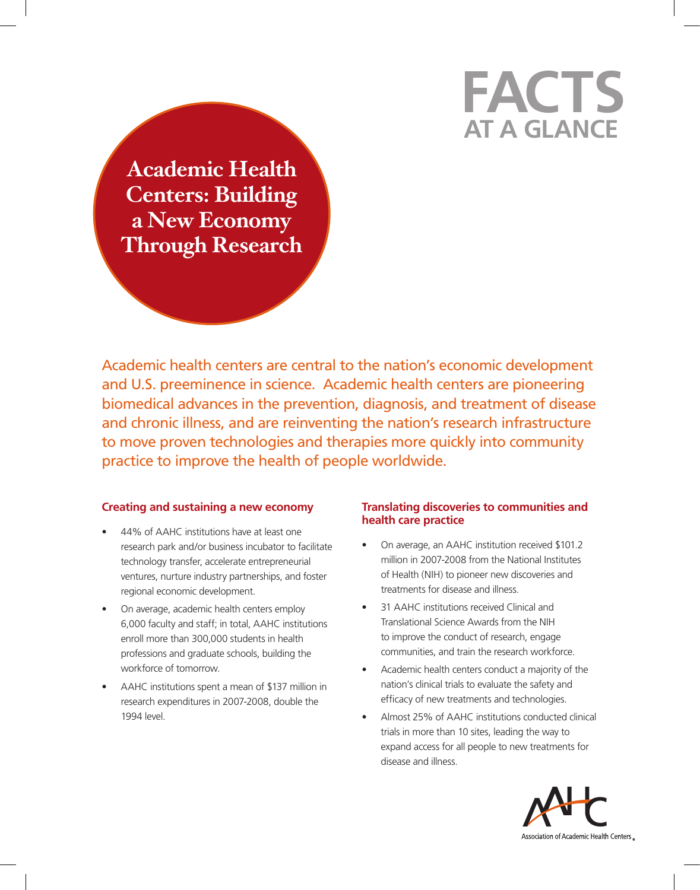# **at a Glance Facts**

**Academic Health Centers: Building a New Economy Through Research**

Academic health centers are central to the nation's economic development and U.S. preeminence in science. Academic health centers are pioneering biomedical advances in the prevention, diagnosis, and treatment of disease and chronic illness, and are reinventing the nation's research infrastructure to move proven technologies and therapies more quickly into community practice to improve the health of people worldwide.

## **Creating and sustaining a new economy**

- 44% of AAHC institutions have at least one research park and/or business incubator to facilitate technology transfer, accelerate entrepreneurial ventures, nurture industry partnerships, and foster regional economic development.
- On average, academic health centers employ 6,000 faculty and staff; in total, AAHC institutions enroll more than 300,000 students in health professions and graduate schools, building the workforce of tomorrow.
- AAHC institutions spent a mean of \$137 million in research expenditures in 2007-2008, double the 1994 level.

## **Translating discoveries to communities and health care practice**

- On average, an AAHC institution received \$101.2 million in 2007-2008 from the National Institutes of Health (NIH) to pioneer new discoveries and treatments for disease and illness.
- 31 AAHC institutions received Clinical and Translational Science Awards from the NIH to improve the conduct of research, engage communities, and train the research workforce.
- Academic health centers conduct a majority of the nation's clinical trials to evaluate the safety and efficacy of new treatments and technologies.
- Almost 25% of AAHC institutions conducted clinical trials in more than 10 sites, leading the way to expand access for all people to new treatments for disease and illness.